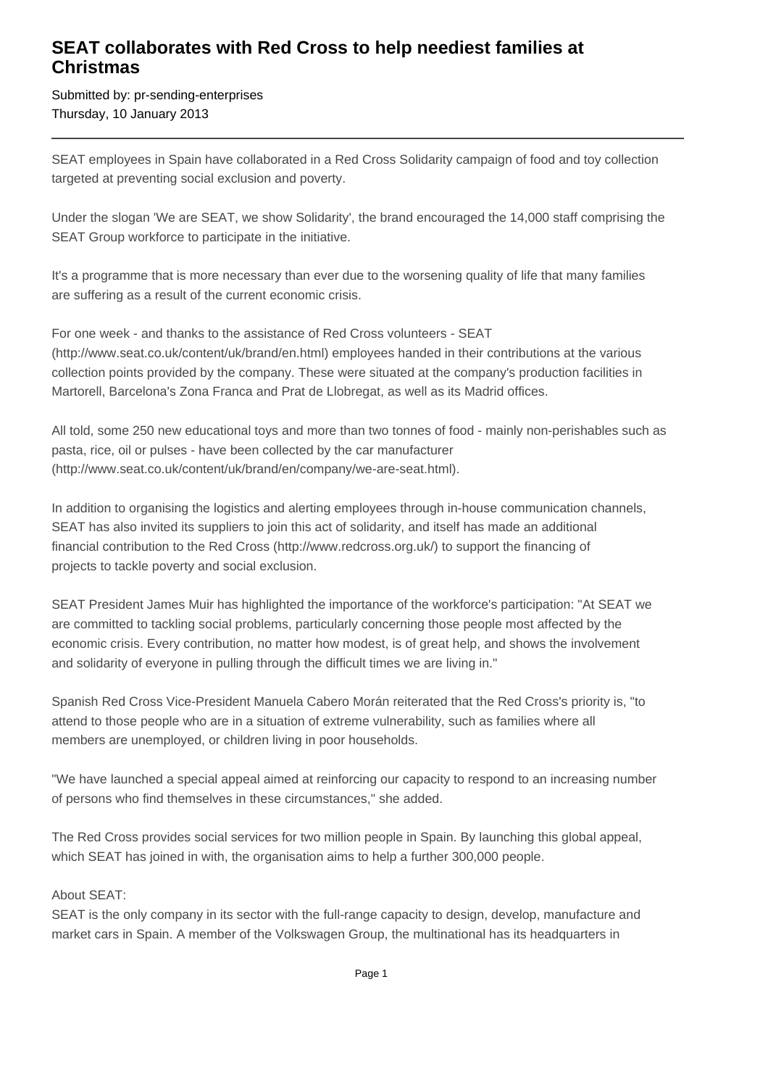## **SEAT collaborates with Red Cross to help neediest families at Christmas**

Submitted by: pr-sending-enterprises Thursday, 10 January 2013

SEAT employees in Spain have collaborated in a Red Cross Solidarity campaign of food and toy collection targeted at preventing social exclusion and poverty.

Under the slogan 'We are SEAT, we show Solidarity', the brand encouraged the 14,000 staff comprising the SEAT Group workforce to participate in the initiative.

It's a programme that is more necessary than ever due to the worsening quality of life that many families are suffering as a result of the current economic crisis.

For one week - and thanks to the assistance of Red Cross volunteers - SEAT (http://www.seat.co.uk/content/uk/brand/en.html) employees handed in their contributions at the various collection points provided by the company. These were situated at the company's production facilities in Martorell, Barcelona's Zona Franca and Prat de Llobregat, as well as its Madrid offices.

All told, some 250 new educational toys and more than two tonnes of food - mainly non-perishables such as pasta, rice, oil or pulses - have been collected by the car manufacturer (http://www.seat.co.uk/content/uk/brand/en/company/we-are-seat.html).

In addition to organising the logistics and alerting employees through in-house communication channels, SEAT has also invited its suppliers to join this act of solidarity, and itself has made an additional financial contribution to the Red Cross (http://www.redcross.org.uk/) to support the financing of projects to tackle poverty and social exclusion.

SEAT President James Muir has highlighted the importance of the workforce's participation: "At SEAT we are committed to tackling social problems, particularly concerning those people most affected by the economic crisis. Every contribution, no matter how modest, is of great help, and shows the involvement and solidarity of everyone in pulling through the difficult times we are living in."

Spanish Red Cross Vice-President Manuela Cabero Morán reiterated that the Red Cross's priority is, "to attend to those people who are in a situation of extreme vulnerability, such as families where all members are unemployed, or children living in poor households.

"We have launched a special appeal aimed at reinforcing our capacity to respond to an increasing number of persons who find themselves in these circumstances," she added.

The Red Cross provides social services for two million people in Spain. By launching this global appeal, which SEAT has joined in with, the organisation aims to help a further 300,000 people.

## About SEAT:

SEAT is the only company in its sector with the full-range capacity to design, develop, manufacture and market cars in Spain. A member of the Volkswagen Group, the multinational has its headquarters in